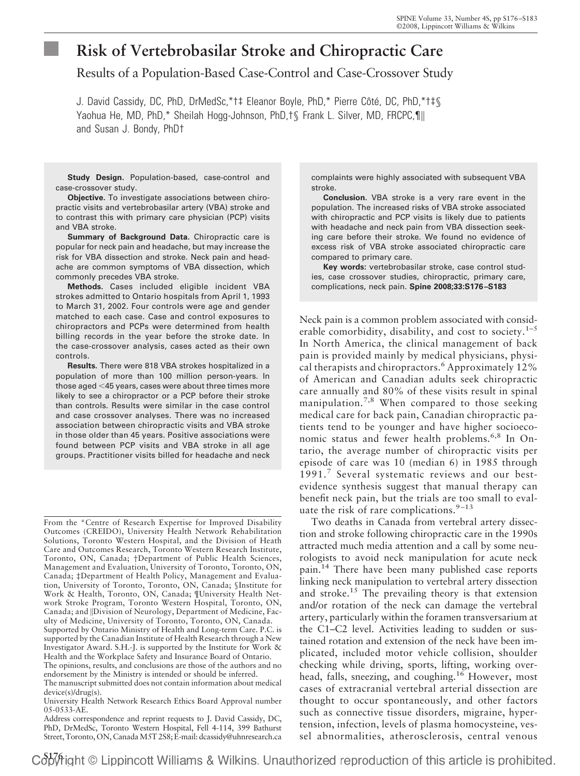# **Risk of Vertebrobasilar Stroke and Chiropractic Care**

Results of a Population-Based Case-Control and Case-Crossover Study

J. David Cassidy, DC, PhD, DrMedSc,\*†‡ Eleanor Boyle, PhD,\* Pierre Côté, DC, PhD,\*†‡§ Yaohua He, MD, PhD,\* Sheilah Hogg-Johnson, PhD, t Frank L. Silver, MD, FRCPC, 11 and Susan J. Bondy, PhD†

**Study Design.** Population-based, case-control and case-crossover study.

**Objective.** To investigate associations between chiropractic visits and vertebrobasilar artery (VBA) stroke and to contrast this with primary care physician (PCP) visits and VBA stroke.

**Summary of Background Data.** Chiropractic care is popular for neck pain and headache, but may increase the risk for VBA dissection and stroke. Neck pain and headache are common symptoms of VBA dissection, which commonly precedes VBA stroke.

**Methods.** Cases included eligible incident VBA strokes admitted to Ontario hospitals from April 1, 1993 to March 31, 2002. Four controls were age and gender matched to each case. Case and control exposures to chiropractors and PCPs were determined from health billing records in the year before the stroke date. In the case-crossover analysis, cases acted as their own controls.

**Results.** There were 818 VBA strokes hospitalized in a population of more than 100 million person-years. In those aged 45 years, cases were about three times more likely to see a chiropractor or a PCP before their stroke than controls. Results were similar in the case control and case crossover analyses. There was no increased association between chiropractic visits and VBA stroke in those older than 45 years. Positive associations were found between PCP visits and VBA stroke in all age groups. Practitioner visits billed for headache and neck

endorsement by the Ministry is intended or should be inferred. The manuscript submitted does not contain information about medical complaints were highly associated with subsequent VBA stroke.

**Conclusion.** VBA stroke is a very rare event in the population. The increased risks of VBA stroke associated with chiropractic and PCP visits is likely due to patients with headache and neck pain from VBA dissection seeking care before their stroke. We found no evidence of excess risk of VBA stroke associated chiropractic care compared to primary care.

**Key words:** vertebrobasilar stroke, case control studies, case crossover studies, chiropractic, primary care, complications, neck pain. **Spine 2008;33:S176 –S183**

Neck pain is a common problem associated with considerable comorbidity, disability, and cost to society.<sup>1-5</sup> In North America, the clinical management of back pain is provided mainly by medical physicians, physical therapists and chiropractors.<sup>6</sup> Approximately  $12\%$ of American and Canadian adults seek chiropractic care annually and 80% of these visits result in spinal manipulation.<sup>7,8</sup> When compared to those seeking medical care for back pain, Canadian chiropractic patients tend to be younger and have higher socioeconomic status and fewer health problems.<sup>6,8</sup> In Ontario, the average number of chiropractic visits per episode of care was 10 (median 6) in 1985 through 1991.<sup>7</sup> Several systematic reviews and our bestevidence synthesis suggest that manual therapy can benefit neck pain, but the trials are too small to evaluate the risk of rare complications. $9-13$ 

Two deaths in Canada from vertebral artery dissection and stroke following chiropractic care in the 1990s attracted much media attention and a call by some neurologists to avoid neck manipulation for acute neck pain.<sup>14</sup> There have been many published case reports linking neck manipulation to vertebral artery dissection and stroke.<sup>15</sup> The prevailing theory is that extension and/or rotation of the neck can damage the vertebral artery, particularly within the foramen transversarium at the C1–C2 level. Activities leading to sudden or sustained rotation and extension of the neck have been implicated, included motor vehicle collision, shoulder checking while driving, sports, lifting, working overhead, falls, sneezing, and coughing.<sup>16</sup> However, most cases of extracranial vertebral arterial dissection are thought to occur spontaneously, and other factors such as connective tissue disorders, migraine, hypertension, infection, levels of plasma homocysteine, vessel abnormalities, atherosclerosis, central venous

From the \*Centre of Research Expertise for Improved Disability Outcomes (CREIDO), University Health Network Rehabilitation Solutions, Toronto Western Hospital, and the Division of Heath Care and Outcomes Research, Toronto Western Research Institute, Toronto, ON, Canada; †Department of Public Health Sciences, Management and Evaluation, University of Toronto, Toronto, ON, Canada; ‡Department of Health Policy, Management and Evaluation, University of Toronto, Toronto, ON, Canada; §Institute for Work & Health, Toronto, ON, Canada; ¶University Health Network Stroke Program, Toronto Western Hospital, Toronto, ON, Canada; and ||Division of Neurology, Department of Medicine, Faculty of Medicine, University of Toronto, Toronto, ON, Canada.

Supported by Ontario Ministry of Health and Long-term Care. P.C. is supported by the Canadian Institute of Health Research through a New Investigator Award. S.H.-J. is supported by the Institute for Work & Health and the Workplace Safety and Insurance Board of Ontario. The opinions, results, and conclusions are those of the authors and no

device(s)/drug(s).

University Health Network Research Ethics Board Approval number 05-0533-AE.

Address correspondence and reprint requests to J. David Cassidy, DC, PhD, DrMedSc, Toronto Western Hospital, Fell 4-114, 399 Bathurst Street, Toronto, ON, Canada M5T 2S8; E-mail: dcassidy@uhnresearch.ca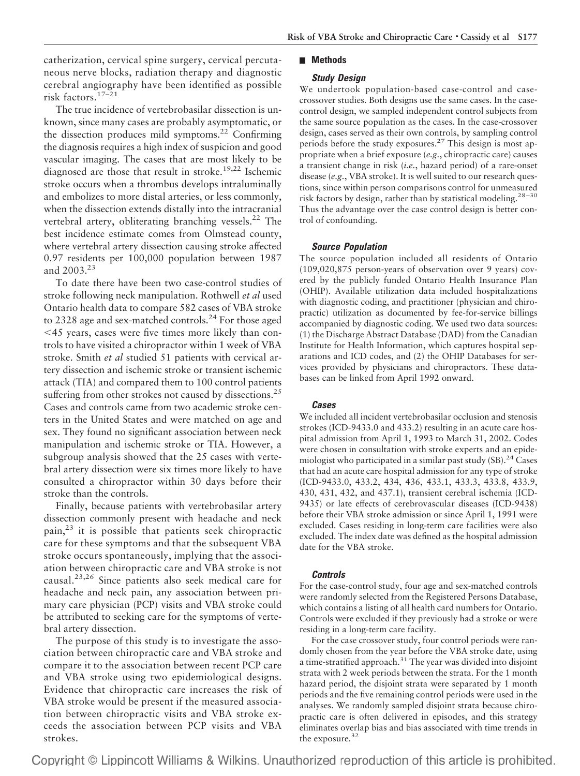catherization, cervical spine surgery, cervical percutaneous nerve blocks, radiation therapy and diagnostic cerebral angiography have been identified as possible risk factors.17–21

The true incidence of vertebrobasilar dissection is unknown, since many cases are probably asymptomatic, or the dissection produces mild symptoms.22 Confirming the diagnosis requires a high index of suspicion and good vascular imaging. The cases that are most likely to be diagnosed are those that result in stroke.<sup>19,22</sup> Ischemic stroke occurs when a thrombus develops intraluminally and embolizes to more distal arteries, or less commonly, when the dissection extends distally into the intracranial vertebral artery, obliterating branching vessels.<sup>22</sup> The best incidence estimate comes from Olmstead county, where vertebral artery dissection causing stroke affected 0.97 residents per 100,000 population between 1987 and 2003.<sup>23</sup>

To date there have been two case-control studies of stroke following neck manipulation. Rothwell *et al* used Ontario health data to compare 582 cases of VBA stroke to 2328 age and sex-matched controls.<sup>24</sup> For those aged 45 years, cases were five times more likely than controls to have visited a chiropractor within 1 week of VBA stroke. Smith *et al* studied 51 patients with cervical artery dissection and ischemic stroke or transient ischemic attack (TIA) and compared them to 100 control patients suffering from other strokes not caused by dissections.<sup>25</sup> Cases and controls came from two academic stroke centers in the United States and were matched on age and sex. They found no significant association between neck manipulation and ischemic stroke or TIA. However, a subgroup analysis showed that the 25 cases with vertebral artery dissection were six times more likely to have consulted a chiropractor within 30 days before their stroke than the controls.

Finally, because patients with vertebrobasilar artery dissection commonly present with headache and neck  $pain, <sup>23</sup>$  it is possible that patients seek chiropractic care for these symptoms and that the subsequent VBA stroke occurs spontaneously, implying that the association between chiropractic care and VBA stroke is not causal.23,26 Since patients also seek medical care for headache and neck pain, any association between primary care physician (PCP) visits and VBA stroke could be attributed to seeking care for the symptoms of vertebral artery dissection.

The purpose of this study is to investigate the association between chiropractic care and VBA stroke and compare it to the association between recent PCP care and VBA stroke using two epidemiological designs. Evidence that chiropractic care increases the risk of VBA stroke would be present if the measured association between chiropractic visits and VBA stroke exceeds the association between PCP visits and VBA strokes.

## **Methods**

## *Study Design*

We undertook population-based case-control and casecrossover studies. Both designs use the same cases. In the casecontrol design, we sampled independent control subjects from the same source population as the cases. In the case-crossover design, cases served as their own controls, by sampling control periods before the study exposures.<sup>27</sup> This design is most appropriate when a brief exposure (*e.g.*, chiropractic care) causes a transient change in risk (*i.e.*, hazard period) of a rare-onset disease (*e.g.*, VBA stroke). It is well suited to our research questions, since within person comparisons control for unmeasured risk factors by design, rather than by statistical modeling.28–30 Thus the advantage over the case control design is better control of confounding.

#### *Source Population*

The source population included all residents of Ontario (109,020,875 person-years of observation over 9 years) covered by the publicly funded Ontario Health Insurance Plan (OHIP). Available utilization data included hospitalizations with diagnostic coding, and practitioner (physician and chiropractic) utilization as documented by fee-for-service billings accompanied by diagnostic coding. We used two data sources: (1) the Discharge Abstract Database (DAD) from the Canadian Institute for Health Information, which captures hospital separations and ICD codes, and (2) the OHIP Databases for services provided by physicians and chiropractors. These databases can be linked from April 1992 onward.

#### *Cases*

We included all incident vertebrobasilar occlusion and stenosis strokes (ICD-9433.0 and 433.2) resulting in an acute care hospital admission from April 1, 1993 to March 31, 2002. Codes were chosen in consultation with stroke experts and an epidemiologist who participated in a similar past study  $(SB)$ .<sup>24</sup> Cases that had an acute care hospital admission for any type of stroke (ICD-9433.0, 433.2, 434, 436, 433.1, 433.3, 433.8, 433.9, 430, 431, 432, and 437.1), transient cerebral ischemia (ICD-9435) or late effects of cerebrovascular diseases (ICD-9438) before their VBA stroke admission or since April 1, 1991 were excluded. Cases residing in long-term care facilities were also excluded. The index date was defined as the hospital admission date for the VBA stroke.

## *Controls*

For the case-control study, four age and sex-matched controls were randomly selected from the Registered Persons Database, which contains a listing of all health card numbers for Ontario. Controls were excluded if they previously had a stroke or were residing in a long-term care facility.

For the case crossover study, four control periods were randomly chosen from the year before the VBA stroke date, using a time-stratified approach.<sup>31</sup> The year was divided into disjoint strata with 2 week periods between the strata. For the 1 month hazard period, the disjoint strata were separated by 1 month periods and the five remaining control periods were used in the analyses. We randomly sampled disjoint strata because chiropractic care is often delivered in episodes, and this strategy eliminates overlap bias and bias associated with time trends in the exposure.<sup>32</sup>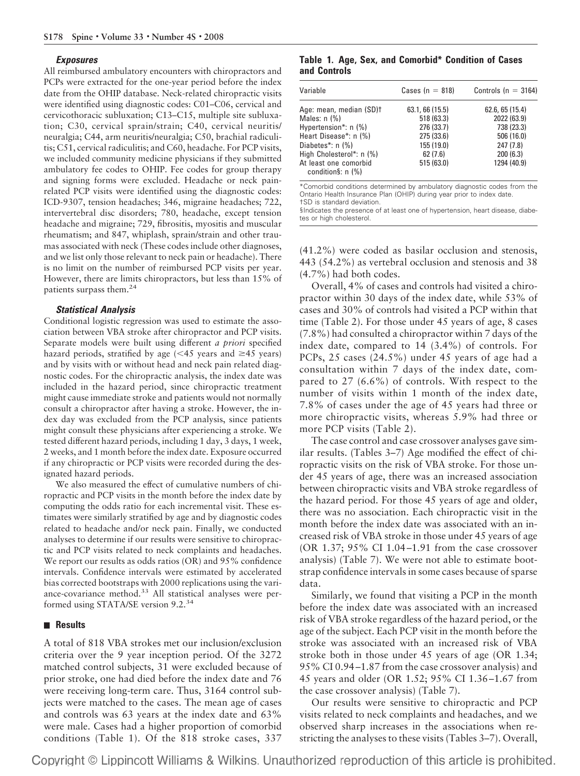#### *Exposures*

All reimbursed ambulatory encounters with chiropractors and PCPs were extracted for the one-year period before the index date from the OHIP database. Neck-related chiropractic visits were identified using diagnostic codes: C01–C06, cervical and cervicothoracic subluxation; C13–C15, multiple site subluxation; C30, cervical sprain/strain; C40, cervical neuritis/ neuralgia; C44, arm neuritis/neuralgia; C50, brachial radiculitis; C51, cervical radiculitis; and C60, headache. For PCP visits, we included community medicine physicians if they submitted ambulatory fee codes to OHIP. Fee codes for group therapy and signing forms were excluded. Headache or neck painrelated PCP visits were identified using the diagnostic codes: ICD-9307, tension headaches; 346, migraine headaches; 722, intervertebral disc disorders; 780, headache, except tension headache and migraine; 729, fibrositis, myositis and muscular rheumatism; and 847, whiplash, sprain/strain and other traumas associated with neck (These codes include other diagnoses, and we list only those relevant to neck pain or headache). There is no limit on the number of reimbursed PCP visits per year. However, there are limits chiropractors, but less than 15% of patients surpass them.24

#### *Statistical Analysis*

Conditional logistic regression was used to estimate the association between VBA stroke after chiropractor and PCP visits. Separate models were built using different *a priori* specified hazard periods, stratified by age  $(< 45$  years and  $\geq 45$  years) and by visits with or without head and neck pain related diagnostic codes. For the chiropractic analysis, the index date was included in the hazard period, since chiropractic treatment might cause immediate stroke and patients would not normally consult a chiropractor after having a stroke. However, the index day was excluded from the PCP analysis, since patients might consult these physicians after experiencing a stroke. We tested different hazard periods, including 1 day, 3 days, 1 week, 2 weeks, and 1 month before the index date. Exposure occurred if any chiropractic or PCP visits were recorded during the designated hazard periods.

We also measured the effect of cumulative numbers of chiropractic and PCP visits in the month before the index date by computing the odds ratio for each incremental visit. These estimates were similarly stratified by age and by diagnostic codes related to headache and/or neck pain. Finally, we conducted analyses to determine if our results were sensitive to chiropractic and PCP visits related to neck complaints and headaches. We report our results as odds ratios (OR) and 95% confidence intervals. Confidence intervals were estimated by accelerated bias corrected bootstraps with 2000 replications using the variance-covariance method.<sup>33</sup> All statistical analyses were performed using STATA/SE version 9.2.34

## **Results**

A total of 818 VBA strokes met our inclusion/exclusion criteria over the 9 year inception period. Of the 3272 matched control subjects, 31 were excluded because of prior stroke, one had died before the index date and 76 were receiving long-term care. Thus, 3164 control subjects were matched to the cases. The mean age of cases and controls was 63 years at the index date and 63% were male. Cases had a higher proportion of comorbid conditions (Table 1). Of the 818 stroke cases, 337

# **Table 1. Age, Sex, and Comorbid\* Condition of Cases and Controls**

| Variable                                     | Cases $(n = 818)$ | Controls ( $n = 3164$ ) |
|----------------------------------------------|-------------------|-------------------------|
| Age: mean, median (SD)t                      | 63.1, 66 (15.5)   | 62.6, 65 (15.4)         |
| Males: $n$ $(\%)$                            | 518 (63.3)        | 2022 (63.9)             |
| Hypertension*: $n$ (%)                       | 276 (33.7)        | 738 (23.3)              |
| Heart Disease*: n (%)                        | 275 (33.6)        | 506 (16.0)              |
| Diabetes $*$ : n $(\%)$                      | 155 (19.0)        | 247 (7.8)               |
| High Cholesterol*: n (%)                     | 62(7.6)           | 200(6.3)                |
| At least one comorbid<br>condition§: $n$ (%) | 515(63.0)         | 1294 (40.9)             |

\*Comorbid conditions determined by ambulatory diagnostic codes from the Ontario Health Insurance Plan (OHIP) during year prior to index date. †SD is standard deviation.

§Indicates the presence of at least one of hypertension, heart disease, diabetes or high cholesterol.

(41.2%) were coded as basilar occlusion and stenosis, 443 (54.2%) as vertebral occlusion and stenosis and 38 (4.7%) had both codes.

Overall, 4% of cases and controls had visited a chiropractor within 30 days of the index date, while 53% of cases and 30% of controls had visited a PCP within that time (Table 2). For those under 45 years of age, 8 cases (7.8%) had consulted a chiropractor within 7 days of the index date, compared to 14 (3.4%) of controls. For PCPs, 25 cases (24.5%) under 45 years of age had a consultation within 7 days of the index date, compared to 27 (6.6%) of controls. With respect to the number of visits within 1 month of the index date, 7.8% of cases under the age of 45 years had three or more chiropractic visits, whereas 5.9% had three or more PCP visits (Table 2).

The case control and case crossover analyses gave similar results. (Tables 3–7) Age modified the effect of chiropractic visits on the risk of VBA stroke. For those under 45 years of age, there was an increased association between chiropractic visits and VBA stroke regardless of the hazard period. For those 45 years of age and older, there was no association. Each chiropractic visit in the month before the index date was associated with an increased risk of VBA stroke in those under 45 years of age (OR 1.37; 95% CI 1.04–1.91 from the case crossover analysis) (Table 7). We were not able to estimate bootstrap confidence intervals in some cases because of sparse data.

Similarly, we found that visiting a PCP in the month before the index date was associated with an increased risk of VBA stroke regardless of the hazard period, or the age of the subject. Each PCP visit in the month before the stroke was associated with an increased risk of VBA stroke both in those under 45 years of age (OR 1.34; 95% CI 0.94–1.87 from the case crossover analysis) and 45 years and older (OR 1.52; 95% CI 1.36–1.67 from the case crossover analysis) (Table 7).

Our results were sensitive to chiropractic and PCP visits related to neck complaints and headaches, and we observed sharp increases in the associations when restricting the analyses to these visits (Tables 3–7). Overall,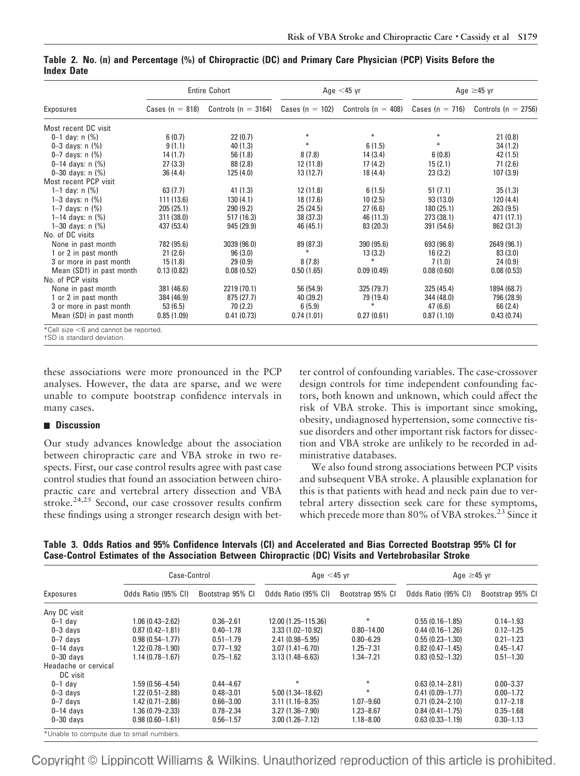|                                       |                     | <b>Entire Cohort</b>    | Age $<$ 45 yr       |                        | Age $\geq$ 45 yr  |                         |
|---------------------------------------|---------------------|-------------------------|---------------------|------------------------|-------------------|-------------------------|
| Exposures                             | Cases ( $n = 818$ ) | Controls ( $n = 3164$ ) | Cases ( $n = 102$ ) | Controls ( $n = 408$ ) | Cases $(n = 716)$ | Controls ( $n = 2756$ ) |
| Most recent DC visit                  |                     |                         |                     |                        |                   |                         |
| 0-1 day: $n$ (%)                      | 6(0.7)              | 22(0.7)                 | *                   | $*$                    | $\ast$            | 21(0.8)                 |
| 0-3 days: $n$ $(\%)$                  | 9(1.1)              | 40(1.3)                 | $\ast$              | 6(1.5)                 | $\ast$            | 34(1.2)                 |
| 0–7 days: $n$ $(\%)$                  | 14(1.7)             | 56(1.8)                 | 8(7.8)              | 14(3.4)                | 6(0.8)            | 42(1.5)                 |
| $0 - 14$ days: n $(\%)$               | 27(3.3)             | 88(2.8)                 | 12(11.8)            | 17(4.2)                | 15(2.1)           | 71(2.6)                 |
| 0-30 days: $n$ $(\%)$                 | 36(4.4)             | 125(4.0)                | 13(12.7)            | 18(4.4)                | 23(3.2)           | 107(3.9)                |
| Most recent PCP visit                 |                     |                         |                     |                        |                   |                         |
| 1–1 day: $n$ $(\%)$                   | 63(7.7)             | 41(1.3)                 | 12(11.8)            | 6(1.5)                 | 51(7.1)           | 35(1.3)                 |
| 1-3 days: $n$ $(\%)$                  | 111(13.6)           | 130(4.1)                | 18 (17.6)           | 10(2.5)                | 93(13.0)          | 120(4.4)                |
| 1–7 days: $n$ $(\%)$                  | 205(25.1)           | 290(9.2)                | 25(24.5)            | 27(6.6)                | 180 (25.1)        | 263(9.5)                |
| 1–14 days: $n$ $(\%)$                 | 311 (38.0)          | 517(16.3)               | 38 (37.3)           | 46 (11.3)              | 273 (38.1)        | 471 (17.1)              |
| 1-30 days: $n$ $(\%)$                 | 437 (53.4)          | 945 (29.9)              | 46 (45.1)           | 83 (20.3)              | 391 (54.6)        | 862 (31.3)              |
| No. of DC visits                      |                     |                         |                     |                        |                   |                         |
| None in past month                    | 782 (95.6)          | 3039 (96.0)             | 89 (87.3)           | 390 (95.6)             | 693 (96.8)        | 2649 (96.1)             |
| 1 or 2 in past month                  | 21(2.6)             | 96(3.0)                 | ₩                   | 13(3.2)                | 16(2.2)           | 83(3.0)                 |
| 3 or more in past month               | 15(1.8)             | 29(0.9)                 | 8(7.8)              | ⋇                      | 7(1.0)            | 24(0.9)                 |
| Mean (SDT) in past month              | 0.13(0.82)          | 0.08(0.52)              | 0.50(1.65)          | 0.09(0.49)             | 0.08(0.60)        | 0.08(0.53)              |
| No. of PCP visits                     |                     |                         |                     |                        |                   |                         |
| None in past month                    | 381 (46.6)          | 2219 (70.1)             | 56 (54.9)           | 325 (79.7)             | 325 (45.4)        | 1894 (68.7)             |
| 1 or 2 in past month                  | 384 (46.9)          | 875(27.7)               | 40 (39.2)           | 79 (19.4)              | 344 (48.0)        | 796 (28.9)              |
| 3 or more in past month               | 53(6.5)             | 70(2.2)                 | 6(5.9)              | $\ast$                 | 47(6.6)           | 66 (2.4)                |
| Mean (SD) in past month               | 0.85(1.09)          | 0.41(0.73)              | 0.74(1.01)          | 0.27(0.61)             | 0.87(1.10)        | 0.43(0.74)              |
| *Cell size <6 and cannot be reported. |                     |                         |                     |                        |                   |                         |

**Table 2. No. (n) and Percentage (%) of Chiropractic (DC) and Primary Care Physician (PCP) Visits Before the Index Date**

†SD is standard deviation.

these associations were more pronounced in the PCP analyses. However, the data are sparse, and we were unable to compute bootstrap confidence intervals in many cases.

# **Discussion**

Our study advances knowledge about the association between chiropractic care and VBA stroke in two respects. First, our case control results agree with past case control studies that found an association between chiropractic care and vertebral artery dissection and VBA stroke.<sup>24,25</sup> Second, our case crossover results confirm these findings using a stronger research design with better control of confounding variables. The case-crossover design controls for time independent confounding factors, both known and unknown, which could affect the risk of VBA stroke. This is important since smoking, obesity, undiagnosed hypertension, some connective tissue disorders and other important risk factors for dissection and VBA stroke are unlikely to be recorded in administrative databases.

We also found strong associations between PCP visits and subsequent VBA stroke. A plausible explanation for this is that patients with head and neck pain due to vertebral artery dissection seek care for these symptoms, which precede more than  $80\%$  of VBA strokes.<sup>23</sup> Since it

**Table 3. Odds Ratios and 95% Confidence Intervals (CI) and Accelerated and Bias Corrected Bootstrap 95% CI for Case-Control Estimates of the Association Between Chiropractic (DC) Visits and Vertebrobasilar Stroke**

| Exposures                        | Case-Control        |                  | Age $<$ 45 yr        |                  | Age $\geq$ 45 yr    |                  |
|----------------------------------|---------------------|------------------|----------------------|------------------|---------------------|------------------|
|                                  | Odds Ratio (95% CI) | Bootstrap 95% CI | Odds Ratio (95% CI)  | Bootstrap 95% CI | Odds Ratio (95% CI) | Bootstrap 95% CI |
| Any DC visit                     |                     |                  |                      |                  |                     |                  |
| $0-1$ day                        | $1.06(0.43 - 2.62)$ | $0.36 - 2.61$    | 12.00 (1.25-115.36)  | $\ast$           | $0.55(0.16 - 1.85)$ | $0.14 - 1.93$    |
| $0 - 3$ days                     | $0.87(0.42 - 1.81)$ | $0.40 - 1.78$    | $3.33(1.02 - 10.92)$ | $0.80 - 14.00$   | $0.44(0.16 - 1.26)$ | $0.12 - 1.25$    |
| $0 - 7$ days                     | $0.98(0.54 - 1.77)$ | $0.51 - 1.79$    | $2.41(0.98 - 5.95)$  | $0.80 - 6.29$    | $0.55(0.23 - 1.30)$ | $0.21 - 1.23$    |
| $0-14$ days                      | 1.22 (0.78–1.90)    | $0.77 - 1.92$    | $3.07(1.41 - 6.70)$  | $1.25 - 7.31$    | $0.82(0.47 - 1.45)$ | $0.45 - 1.47$    |
| $0 - 30$ days                    | $1.14(0.78 - 1.67)$ | $0.75 - 1.62$    | $3.13(1.48 - 6.63)$  | $1.34 - 7.21$    | $0.83(0.52 - 1.32)$ | $0.51 - 1.30$    |
| Headache or cervical<br>DC visit |                     |                  |                      |                  |                     |                  |
| $0-1$ day                        | $1.59(0.56 - 4.54)$ | $0.44 - 4.67$    | $\ast$               | $\ast$           | $0.63(0.14 - 2.81)$ | $0.00 - 3.37$    |
| $0 - 3$ days                     | $1.22(0.51 - 2.88)$ | $0.48 - 3.01$    | $5.00(1.34 - 18.62)$ | $\ast$           | $0.41(0.09 - 1.77)$ | $0.00 - 1.72$    |
| $0 - 7$ days                     | $1.42(0.71 - 2.86)$ | $0.66 - 3.00$    | $3.11(1.16 - 8.35)$  | $1.07 - 9.60$    | $0.71(0.24 - 2.10)$ | $0.17 - 2.18$    |
| $0-14$ days                      | $1.36(0.79 - 2.33)$ | $0.78 - 2.34$    | $3.27(1.36 - 7.90)$  | $1.23 - 8.67$    | $0.84(0.41 - 1.75)$ | $0.35 - 1.68$    |
| $0 - 30$ days                    | $0.98(0.60 - 1.61)$ | $0.56 - 1.57$    | $3.00(1.26 - 7.12)$  | $1.18 - 8.00$    | $0.63(0.33 - 1.19)$ | $0.30 - 1.13$    |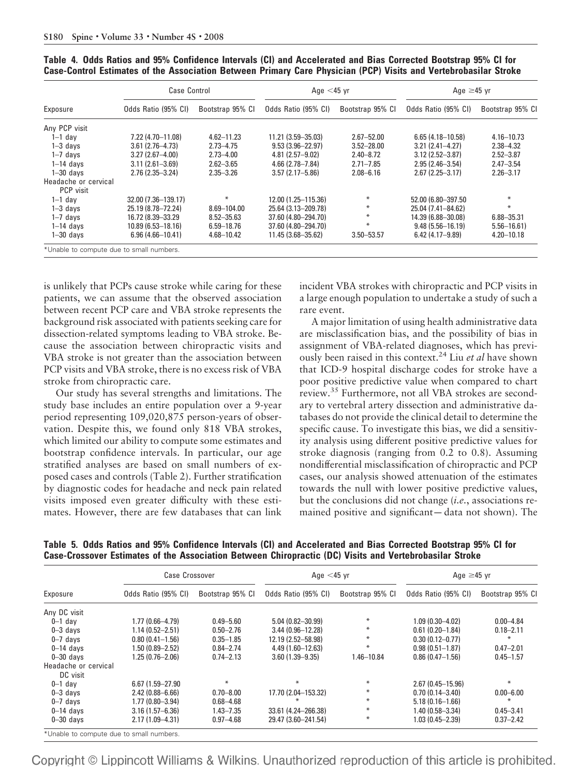| Exposure                                 | <b>Case Control</b>  |                  | Age $<$ 45 yr        |                  | Age $\geq$ 45 yr     |                  |
|------------------------------------------|----------------------|------------------|----------------------|------------------|----------------------|------------------|
|                                          | Odds Ratio (95% CI)  | Bootstrap 95% CI | Odds Ratio (95% CI)  | Bootstrap 95% CI | Odds Ratio (95% CI)  | Bootstrap 95% CI |
| Any PCP visit                            |                      |                  |                      |                  |                      |                  |
| $1-1$ dav                                | 7.22 (4.70-11.08)    | $4.62 - 11.23$   | 11.21 (3.59-35.03)   | $2.67 - 52.00$   | $6.65(4.18 - 10.58)$ | $4.16 - 10.73$   |
| $1-3$ days                               | $3.61(2.76 - 4.73)$  | $2.73 - 4.75$    | $9.53(3.96 - 22.97)$ | $3.52 - 28.00$   | $3.21(2.41 - 4.27)$  | $2.38 - 4.32$    |
| $1 - 7$ days                             | $3.27(2.67 - 4.00)$  | $2.73 - 4.00$    | $4.81(2.57 - 9.02)$  | $2.40 - 8.72$    | $3.12(2.52 - 3.87)$  | $2.52 - 3.87$    |
| $1-14$ davs                              | $3.11(2.61 - 3.69)$  | $2.62 - 3.65$    | $4.66(2.78 - 7.84)$  | $2.71 - 7.85$    | $2.95(2.46 - 3.54)$  | $2.47 - 3.54$    |
| $1 - 30$ davs                            | $2.76(2.35 - 3.24)$  | $2.35 - 3.26$    | $3.57(2.17 - 5.86)$  | $2.08 - 6.16$    | $2.67(2.25 - 3.17)$  | $2.26 - 3.17$    |
| Headache or cervical<br>PCP visit        |                      |                  |                      |                  |                      |                  |
| $1-1$ day                                | 32.00 (7.36-139.17)  | $*$              | 12.00 (1.25-115.36)  | ⋇                | 52.00 (6.80-397.50)  | $\ast$           |
| $1-3$ days                               | 25.19 (8.78-72.24)   | 8.69-104.00      | 25.64 (3.13-209.78)  | ₩                | 25.04 (7.41-84.62)   | $\ast$           |
| $1 - 7$ days                             | 16.72 (8.39 - 33.29) | $8.52 - 35.63$   | 37.60 (4.80-294.70)  | $\ast$           | 14.39 (6.88-30.08)   | 6.88-35.31       |
| $1-14$ days                              | 10.89 (6.53-18.16)   | $6.59 - 18.76$   | 37.60 (4.80-294.70)  | ₩                | $9.48(5.56 - 16.19)$ | $5.56 - 16.61$   |
| $1-30$ days                              | $6.96(4.66 - 10.41)$ | $4.68 - 10.42$   | 11.45 (3.68-35.62)   | $3.50 - 53.57$   | $6.42(4.17 - 9.89)$  | $4.20 - 10.18$   |
| *Unable to compute due to small numbers. |                      |                  |                      |                  |                      |                  |

| Table 4. Odds Ratios and 95% Confidence Intervals (CI) and Accelerated and Bias Corrected Bootstrap 95% CI for   |  |  |
|------------------------------------------------------------------------------------------------------------------|--|--|
| Case-Control Estimates of the Association Between Primary Care Physician (PCP) Visits and Vertebrobasilar Stroke |  |  |

is unlikely that PCPs cause stroke while caring for these patients, we can assume that the observed association between recent PCP care and VBA stroke represents the background risk associated with patients seeking care for dissection-related symptoms leading to VBA stroke. Because the association between chiropractic visits and VBA stroke is not greater than the association between PCP visits and VBA stroke, there is no excess risk of VBA stroke from chiropractic care.

Our study has several strengths and limitations. The study base includes an entire population over a 9-year period representing 109,020,875 person-years of observation. Despite this, we found only 818 VBA strokes, which limited our ability to compute some estimates and bootstrap confidence intervals. In particular, our age stratified analyses are based on small numbers of exposed cases and controls (Table 2). Further stratification by diagnostic codes for headache and neck pain related visits imposed even greater difficulty with these estimates. However, there are few databases that can link

incident VBA strokes with chiropractic and PCP visits in a large enough population to undertake a study of such a rare event.

A major limitation of using health administrative data are misclassification bias, and the possibility of bias in assignment of VBA-related diagnoses, which has previously been raised in this context.24 Liu *et al* have shown that ICD-9 hospital discharge codes for stroke have a poor positive predictive value when compared to chart review.<sup>35</sup> Furthermore, not all VBA strokes are secondary to vertebral artery dissection and administrative databases do not provide the clinical detail to determine the specific cause. To investigate this bias, we did a sensitivity analysis using different positive predictive values for stroke diagnosis (ranging from 0.2 to 0.8). Assuming nondifferential misclassification of chiropractic and PCP cases, our analysis showed attenuation of the estimates towards the null with lower positive predictive values, but the conclusions did not change (*i.e.*, associations remained positive and significant—data not shown). The

**Table 5. Odds Ratios and 95% Confidence Intervals (CI) and Accelerated and Bias Corrected Bootstrap 95% CI for Case-Crossover Estimates of the Association Between Chiropractic (DC) Visits and Vertebrobasilar Stroke**

| Exposure                         | Case Crossover       |                  | Age $<$ 45 yr        |                  | Age $\geq$ 45 yr     |                  |
|----------------------------------|----------------------|------------------|----------------------|------------------|----------------------|------------------|
|                                  | Odds Ratio (95% CI)  | Bootstrap 95% CI | Odds Ratio (95% CI)  | Bootstrap 95% CI | Odds Ratio (95% CI)  | Bootstrap 95% CI |
| Any DC visit                     |                      |                  |                      |                  |                      |                  |
| $0 - 1$ day                      | $1.77(0.66 - 4.79)$  | $0.49 - 5.60$    | $5.04(0.82 - 30.99)$ | ⋇                | $1.09(0.30 - 4.02)$  | $0.00 - 4.84$    |
| $0 - 3$ days                     | $1.14(0.52 - 2.51)$  | $0.50 - 2.76$    | $3.44(0.96 - 12.28)$ | $\ast$           | $0.61(0.20 - 1.84)$  | $0.18 - 2.11$    |
| $0 - 7$ days                     | $0.80(0.41 - 1.56)$  | $0.35 - 1.85$    | 12.19 (2.52-58.98)   | ₩                | $0.30(0.12 - 0.77)$  | ₩                |
| $0 - 14$ days                    | $1.50(0.89 - 2.52)$  | $0.84 - 2.74$    | $4.49(1.60 - 12.63)$ | *                | $0.98(0.51 - 1.87)$  | $0.47 - 2.01$    |
| $0 - 30$ days                    | $1.25(0.76 - 2.06)$  | $0.74 - 2.13$    | $3.60(1.39 - 9.35)$  | $1.46 - 10.84$   | $0.86(0.47 - 1.56)$  | $0.45 - 1.57$    |
| Headache or cervical<br>DC visit |                      |                  |                      |                  |                      |                  |
| $0-1$ day                        | $6.67(1.59 - 27.90)$ | $\ast$           | ⋇                    | $\ast$           | $2.67(0.45 - 15.96)$ | ₩                |
| $0 - 3$ days                     | $2.42(0.88 - 6.66)$  | $0.70 - 8.00$    | 17.70 (2.04-153.32)  | $\ast$           | $0.70(0.14 - 3.40)$  | $0.00 - 6.00$    |
| $0 - 7$ days                     | $1.77(0.80 - 3.94)$  | $0.68 - 4.68$    |                      | $\ast$           | $5.18(0.16 - 1.66)$  | ₩                |
| $0-14$ days                      | $3.16(1.57 - 6.36)$  | $1.43 - 7.35$    | 33.61 (4.24-266.38)  | *                | $1.40(0.58 - 3.34)$  | $0.45 - 3.41$    |
| $0 - 30$ days                    | $2.17(1.09 - 4.31)$  | $0.97 - 4.68$    | 29.47 (3.60-241.54)  | ₩                | $1.03(0.45 - 2.39)$  | $0.37 - 2.42$    |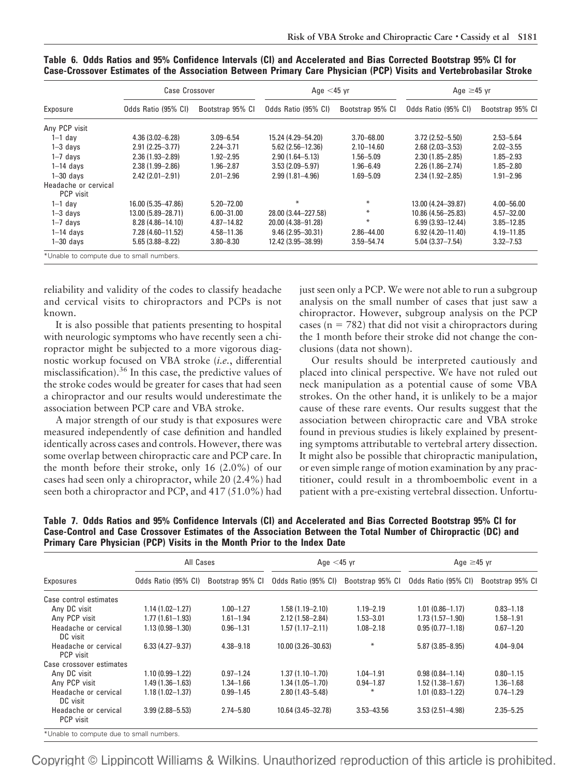| Exposure                                 | Case Crossover       |                  | Age $<$ 45 yr        |                  | Age $\geq$ 45 yr     |                  |
|------------------------------------------|----------------------|------------------|----------------------|------------------|----------------------|------------------|
|                                          | Odds Ratio (95% CI)  | Bootstrap 95% CI | Odds Ratio (95% CI)  | Bootstrap 95% CI | Odds Ratio (95% CI)  | Bootstrap 95% CI |
| Any PCP visit                            |                      |                  |                      |                  |                      |                  |
| $1-1$ day                                | $4.36(3.02 - 6.28)$  | $3.09 - 6.54$    | 15.24 (4.29–54.20)   | $3.70 - 68.00$   | $3.72(2.52 - 5.50)$  | $2.53 - 5.64$    |
| $1-3$ days                               | $2.91(2.25 - 3.77)$  | $2.24 - 3.71$    | $5.62(2.56 - 12.36)$ | $2.10 - 14.60$   | $2.68(2.03 - 3.53)$  | $2.02 - 3.55$    |
| $1 - 7$ days                             | $2.36(1.93 - 2.89)$  | $1.92 - 2.95$    | $2.90(1.64 - 5.13)$  | $1.56 - 5.09$    | $2.30(1.85 - 2.85)$  | $1.85 - 2.93$    |
| $1-14$ days                              | $2.38(1.99 - 2.86)$  | $1.96 - 2.87$    | $3.53(2.09 - 5.97)$  | $1.96 - 6.49$    | $2.26(1.86 - 2.74)$  | $1.85 - 2.80$    |
| $1-30$ days                              | $2.42(2.01 - 2.91)$  | $2.01 - 2.96$    | $2.99(1.81 - 4.96)$  | $1.69 - 5.09$    | $2.34(1.92 - 2.85)$  | $1.91 - 2.96$    |
| Headache or cervical<br>PCP visit        |                      |                  |                      |                  |                      |                  |
| $1-1$ day                                | 16.00 (5.35-47.86)   | $5.20 - 72.00$   | $\ast$               | $\ast$           | 13.00 (4.24-39.87)   | $4.00 - 56.00$   |
| $1-3$ days                               | 13.00 (5.89-28.71)   | $6.00 - 31.00$   | 28.00 (3.44–227.58)  | $\ast$           | 10.86 (4.56-25.83)   | $4.57 - 32.00$   |
| $1 - 7$ davs                             | $8.28(4.86 - 14.10)$ | $4.87 - 14.82$   | 20.00 (4.38-91.28)   | $\ast$           | $6.99(3.93 - 12.44)$ | $3.85 - 12.85$   |
| $1-14$ days                              | 7.28 (4.60-11.52)    | $4.58 - 11.36$   | $9.46(2.95 - 30.31)$ | $2.86 - 44.00$   | $6.92(4.20 - 11.40)$ | $4.19 - 11.85$   |
| $1 - 30$ days                            | $5.65(3.88 - 8.22)$  | $3.80 - 8.30$    | 12.42 (3.95-38.99)   | $3.59 - 54.74$   | $5.04(3.37 - 7.54)$  | $3.32 - 7.53$    |
| *Unable to compute due to small numbers. |                      |                  |                      |                  |                      |                  |

| Table 6. Odds Ratios and 95% Confidence Intervals (CI) and Accelerated and Bias Corrected Bootstrap 95% CI for     |  |
|--------------------------------------------------------------------------------------------------------------------|--|
| Case-Crossover Estimates of the Association Between Primary Care Physician (PCP) Visits and Vertebrobasilar Stroke |  |

reliability and validity of the codes to classify headache and cervical visits to chiropractors and PCPs is not known.

It is also possible that patients presenting to hospital with neurologic symptoms who have recently seen a chiropractor might be subjected to a more vigorous diagnostic workup focused on VBA stroke (*i.e.*, differential misclassification).36 In this case, the predictive values of the stroke codes would be greater for cases that had seen a chiropractor and our results would underestimate the association between PCP care and VBA stroke.

A major strength of our study is that exposures were measured independently of case definition and handled identically across cases and controls. However, there was some overlap between chiropractic care and PCP care. In the month before their stroke, only 16 (2.0%) of our cases had seen only a chiropractor, while 20 (2.4%) had seen both a chiropractor and PCP, and 417 (51.0%) had just seen only a PCP. We were not able to run a subgroup analysis on the small number of cases that just saw a chiropractor. However, subgroup analysis on the PCP cases ( $n = 782$ ) that did not visit a chiropractors during the 1 month before their stroke did not change the conclusions (data not shown).

Our results should be interpreted cautiously and placed into clinical perspective. We have not ruled out neck manipulation as a potential cause of some VBA strokes. On the other hand, it is unlikely to be a major cause of these rare events. Our results suggest that the association between chiropractic care and VBA stroke found in previous studies is likely explained by presenting symptoms attributable to vertebral artery dissection. It might also be possible that chiropractic manipulation, or even simple range of motion examination by any practitioner, could result in a thromboembolic event in a patient with a pre-existing vertebral dissection. Unfortu-

**Table 7. Odds Ratios and 95% Confidence Intervals (CI) and Accelerated and Bias Corrected Bootstrap 95% CI for Case-Control and Case Crossover Estimates of the Association Between the Total Number of Chiropractic (DC) and Primary Care Physician (PCP) Visits in the Month Prior to the Index Date**

| Exposures                         | All Cases           |                  | Age $<$ 45 yr       |                  | Age $\geq$ 45 yr    |                  |
|-----------------------------------|---------------------|------------------|---------------------|------------------|---------------------|------------------|
|                                   | Odds Ratio (95% CI) | Bootstrap 95% CI | Odds Ratio (95% CI) | Bootstrap 95% CI | Odds Ratio (95% CI) | Bootstrap 95% CI |
| Case control estimates            |                     |                  |                     |                  |                     |                  |
| Any DC visit                      | $1.14(1.02 - 1.27)$ | $1.00 - 1.27$    | $1.58(1.19 - 2.10)$ | $1.19 - 2.19$    | $1.01(0.86 - 1.17)$ | $0.83 - 1.18$    |
| Any PCP visit                     | $1.77(1.61 - 1.93)$ | $1.61 - 1.94$    | $2.12(1.58 - 2.84)$ | $1.53 - 3.01$    | $1.73(1.57 - 1.90)$ | $1.58 - 1.91$    |
| Headache or cervical<br>DC visit  | $1.13(0.98 - 1.30)$ | $0.96 - 1.31$    | $1.57(1.17 - 2.11)$ | $1.08 - 2.18$    | $0.95(0.77 - 1.18)$ | $0.67 - 1.20$    |
| Headache or cervical<br>PCP visit | $6.33(4.27 - 9.37)$ | $4.38 - 9.18$    | 10.00 (3.26-30.63)  | $*$              | $5.87(3.85 - 8.95)$ | $4.04 - 9.04$    |
| Case crossover estimates          |                     |                  |                     |                  |                     |                  |
| Any DC visit                      | $1.10(0.99 - 1.22)$ | $0.97 - 1.24$    | $1.37(1.10 - 1.70)$ | $1.04 - 1.91$    | $0.98(0.84 - 1.14)$ | $0.80 - 1.15$    |
| Any PCP visit                     | $1.49(1.36 - 1.63)$ | $1.34 - 1.66$    | $1.34(1.05 - 1.70)$ | $0.94 - 1.87$    | $1.52(1.38 - 1.67)$ | $1.36 - 1.68$    |
| Headache or cervical<br>DC visit  | $1.18(1.02 - 1.37)$ | $0.99 - 1.45$    | $2.80(1.43 - 5.48)$ | ₩                | $1.01(0.83 - 1.22)$ | $0.74 - 1.29$    |
| Headache or cervical<br>PCP visit | $3.99(2.88 - 5.53)$ | $2.74 - 5.80$    | 10.64 (3.45-32.78)  | $3.53 - 43.56$   | $3.53(2.51 - 4.98)$ | $2.35 - 5.25$    |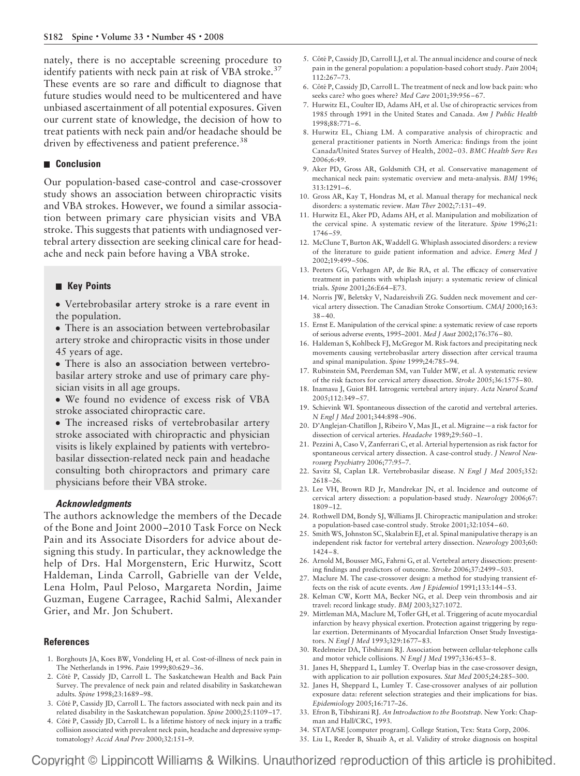nately, there is no acceptable screening procedure to identify patients with neck pain at risk of VBA stroke.<sup>37</sup> These events are so rare and difficult to diagnose that future studies would need to be multicentered and have unbiased ascertainment of all potential exposures. Given our current state of knowledge, the decision of how to treat patients with neck pain and/or headache should be driven by effectiveness and patient preference.<sup>38</sup>

# **Conclusion**

Our population-based case-control and case-crossover study shows an association between chiropractic visits and VBA strokes. However, we found a similar association between primary care physician visits and VBA stroke. This suggests that patients with undiagnosed vertebral artery dissection are seeking clinical care for headache and neck pain before having a VBA stroke.

### **Key Points**

● Vertebrobasilar artery stroke is a rare event in the population.

• There is an association between vertebrobasilar artery stroke and chiropractic visits in those under 45 years of age.

• There is also an association between vertebrobasilar artery stroke and use of primary care physician visits in all age groups.

● We found no evidence of excess risk of VBA stroke associated chiropractic care.

● The increased risks of vertebrobasilar artery stroke associated with chiropractic and physician visits is likely explained by patients with vertebrobasilar dissection-related neck pain and headache consulting both chiropractors and primary care physicians before their VBA stroke.

#### *Acknowledgments*

The authors acknowledge the members of the Decade of the Bone and Joint 2000–2010 Task Force on Neck Pain and its Associate Disorders for advice about designing this study. In particular, they acknowledge the help of Drs. Hal Morgenstern, Eric Hurwitz, Scott Haldeman, Linda Carroll, Gabrielle van der Velde, Lena Holm, Paul Peloso, Margareta Nordin, Jaime Guzman, Eugene Carragee, Rachid Salmi, Alexander Grier, and Mr. Jon Schubert.

## **References**

- 1. Borghouts JA, Koes BW, Vondeling H, et al. Cost-of-illness of neck pain in The Netherlands in 1996. *Pain* 1999;80:629–36.
- 2. Côté P, Cassidy JD, Carroll L. The Saskatchewan Health and Back Pain Survey. The prevalence of neck pain and related disability in Saskatchewan adults. *Spine* 1998;23:1689–98.
- 3. Côté P, Cassidy JD, Carroll L. The factors associated with neck pain and its related disability in the Saskatchewan population. *Spine* 2000;25:1109–17.
- 4. Côté P, Cassidy JD, Carroll L. Is a lifetime history of neck injury in a traffic collision associated with prevalent neck pain, headache and depressive symptomatology? *Accid Anal Prev* 2000;32:151–9.
- 5. Côté P, Cassidy JD, Carroll LJ, et al. The annual incidence and course of neck pain in the general population: a population-based cohort study. *Pain* 2004; 112:267–73.
- 6. Côté P, Cassidy JD, Carroll L. The treatment of neck and low back pain: who seeks care? who goes where? *Med Care* 2001;39:956–67.
- 7. Hurwitz EL, Coulter ID, Adams AH, et al. Use of chiropractic services from 1985 through 1991 in the United States and Canada. *Am J Public Health* 1998;88:771–6.
- 8. Hurwitz EL, Chiang LM. A comparative analysis of chiropractic and general practitioner patients in North America: findings from the joint Canada/United States Survey of Health, 2002–03. *BMC Health Serv Res* 2006;6:49.
- 9. Aker PD, Gross AR, Goldsmith CH, et al. Conservative management of mechanical neck pain: systematic overview and meta-analysis. *BMJ* 1996; 313:1291–6.
- 10. Gross AR, Kay T, Hondras M, et al. Manual therapy for mechanical neck disorders: a systematic review. *Man Ther* 2002;7:131–49.
- 11. Hurwitz EL, Aker PD, Adams AH, et al. Manipulation and mobilization of the cervical spine. A systematic review of the literature. *Spine* 1996;21: 1746–59.
- 12. McClune T, Burton AK, Waddell G. Whiplash associated disorders: a review of the literature to guide patient information and advice. *Emerg Med J* 2002;19:499–506.
- 13. Peeters GG, Verhagen AP, de Bie RA, et al. The efficacy of conservative treatment in patients with whiplash injury: a systematic review of clinical trials. *Spine* 2001;26:E64–E73.
- 14. Norris JW, Beletsky V, Nadareishvili ZG. Sudden neck movement and cervical artery dissection. The Canadian Stroke Consortium. *CMAJ* 2000;163:  $38 - 40.$
- 15. Ernst E. Manipulation of the cervical spine: a systematic review of case reports of serious adverse events, 1995–2001. *Med J Aust* 2002;176:376–80.
- 16. Haldeman S, Kohlbeck FJ, McGregor M. Risk factors and precipitating neck movements causing vertebrobasilar artery dissection after cervical trauma and spinal manipulation. *Spine* 1999;24:785–94.
- 17. Rubinstein SM, Peerdeman SM, van Tulder MW, et al. A systematic review of the risk factors for cervical artery dissection. *Stroke* 2005;36:1575–80.
- 18. Inamasu J, Guiot BH. Iatrogenic vertebral artery injury. *Acta Neurol Scand* 2005;112:349–57.
- 19. Schievink WI. Spontaneous dissection of the carotid and vertebral arteries. *N Engl J Med* 2001;344:898–906.
- 20. D'Anglejan-Chatillon J, Ribeiro V, Mas JL, et al. Migraine—a risk factor for dissection of cervical arteries. *Headache* 1989;29:560–1.
- 21. Pezzini A, Caso V, Zanferrari C, et al. Arterial hypertension as risk factor for spontaneous cervical artery dissection. A case-control study. *J Neurol Neurosurg Psychiatry* 2006;77:95–7.
- 22. Savitz SI, Caplan LR. Vertebrobasilar disease. *N Engl J Med* 2005;352: 2618–26.
- 23. Lee VH, Brown RD Jr, Mandrekar JN, et al. Incidence and outcome of cervical artery dissection: a population-based study. *Neurology* 2006;67: 1809–12.
- 24. Rothwell DM, Bondy SJ, Williams JI. Chiropractic manipulation and stroke: a population-based case-control study. Stroke 2001;32:1054–60.
- 25. Smith WS, Johnston SC, Skalabrin EJ, et al. Spinal manipulative therapy is an independent risk factor for vertebral artery dissection. *Neurology* 2003;60:  $1424 - 8$
- 26. Arnold M, Bousser MG, Fahrni G, et al. Vertebral artery dissection: presenting findings and predictors of outcome. *Stroke* 2006;37:2499–503.
- 27. Maclure M. The case-crossover design: a method for studying transient effects on the risk of acute events. *Am J Epidemiol* 1991;133:144–53.
- 28. Kelman CW, Kortt MA, Becker NG, et al. Deep vein thrombosis and air travel: record linkage study. *BMJ* 2003;327:1072.
- 29. Mittleman MA, Maclure M, Tofler GH, et al. Triggering of acute myocardial infarction by heavy physical exertion. Protection against triggering by regular exertion. Determinants of Myocardial Infarction Onset Study Investigators. *N Engl J Med* 1993;329:1677–83.
- 30. Redelmeier DA, Tibshirani RJ. Association between cellular-telephone calls and motor vehicle collisions. *N Engl J Med* 1997;336:453–8.
- 31. Janes H, Sheppard L, Lumley T. Overlap bias in the case-crossover design, with application to air pollution exposures. *Stat Med* 2005;24:285–300.
- 32. Janes H, Sheppard L, Lumley T. Case-crossover analyses of air pollution exposure data: referent selection strategies and their implications for bias. *Epidemiology* 2005;16:717–26.
- 33. Efron B, Tibshirani RJ. *An Introduction to the Bootstrap.* New York: Chapman and Hall/CRC, 1993.
- 34. STATA/SE [computer program]. College Station, Tex: Stata Corp, 2006.
- 35. Liu L, Reeder B, Shuaib A, et al. Validity of stroke diagnosis on hospital